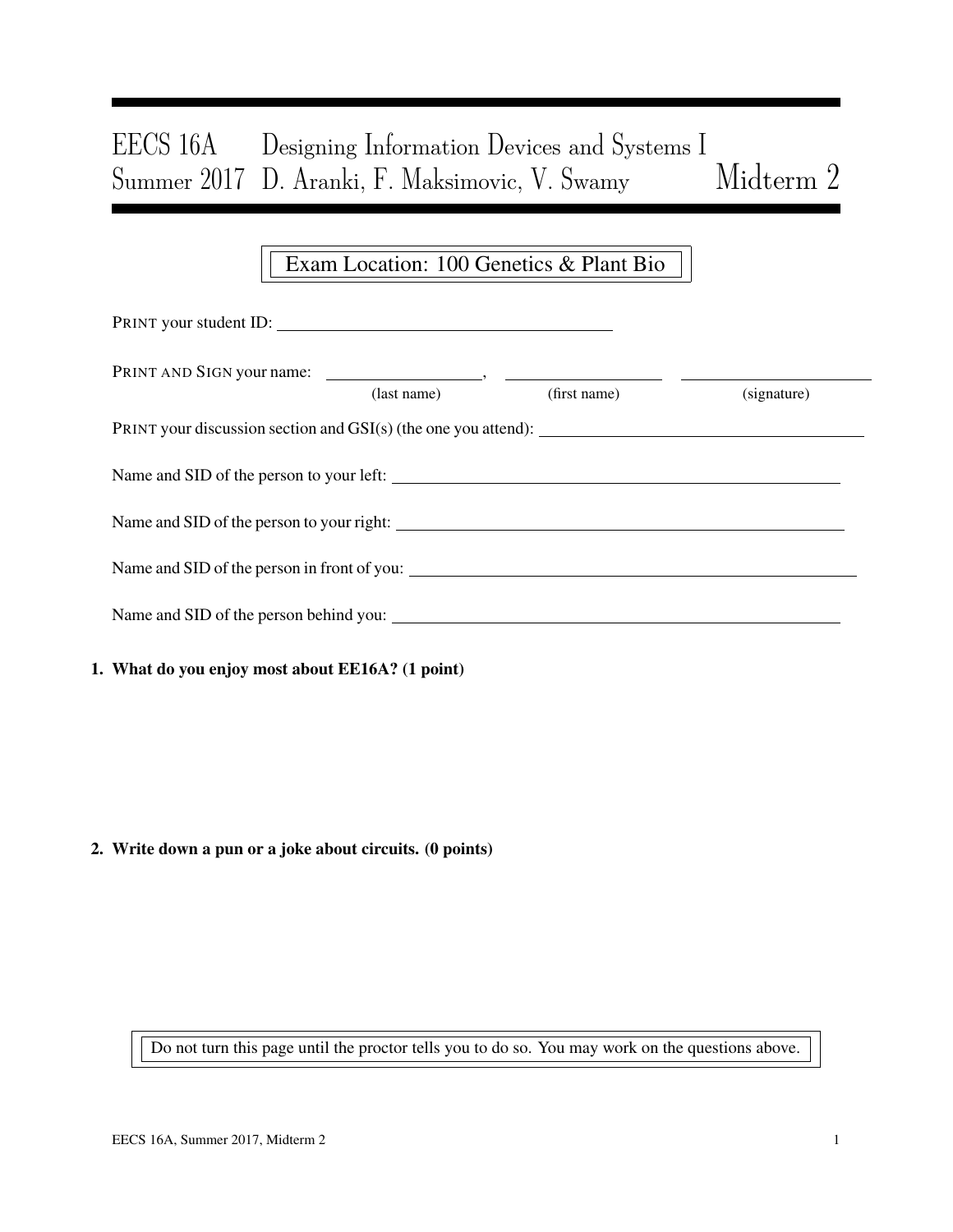# EECS 16A Designing Information Devices and Systems I Summer 2017 D. Aranki, F. Maksimovic, V. Swamy Midterm 2

## Exam Location: 100 Genetics & Plant Bio

| PRINT your student ID:                           |             |              |             |  |  |  |  |  |
|--------------------------------------------------|-------------|--------------|-------------|--|--|--|--|--|
|                                                  | (last name) | (first name) | (signature) |  |  |  |  |  |
|                                                  |             |              |             |  |  |  |  |  |
| Name and SID of the person to your left:         |             |              |             |  |  |  |  |  |
|                                                  |             |              |             |  |  |  |  |  |
|                                                  |             |              |             |  |  |  |  |  |
|                                                  |             |              |             |  |  |  |  |  |
| 1. What do you enjoy most about EE16A? (1 point) |             |              |             |  |  |  |  |  |

#### 2. Write down a pun or a joke about circuits. (0 points)

Do not turn this page until the proctor tells you to do so. You may work on the questions above.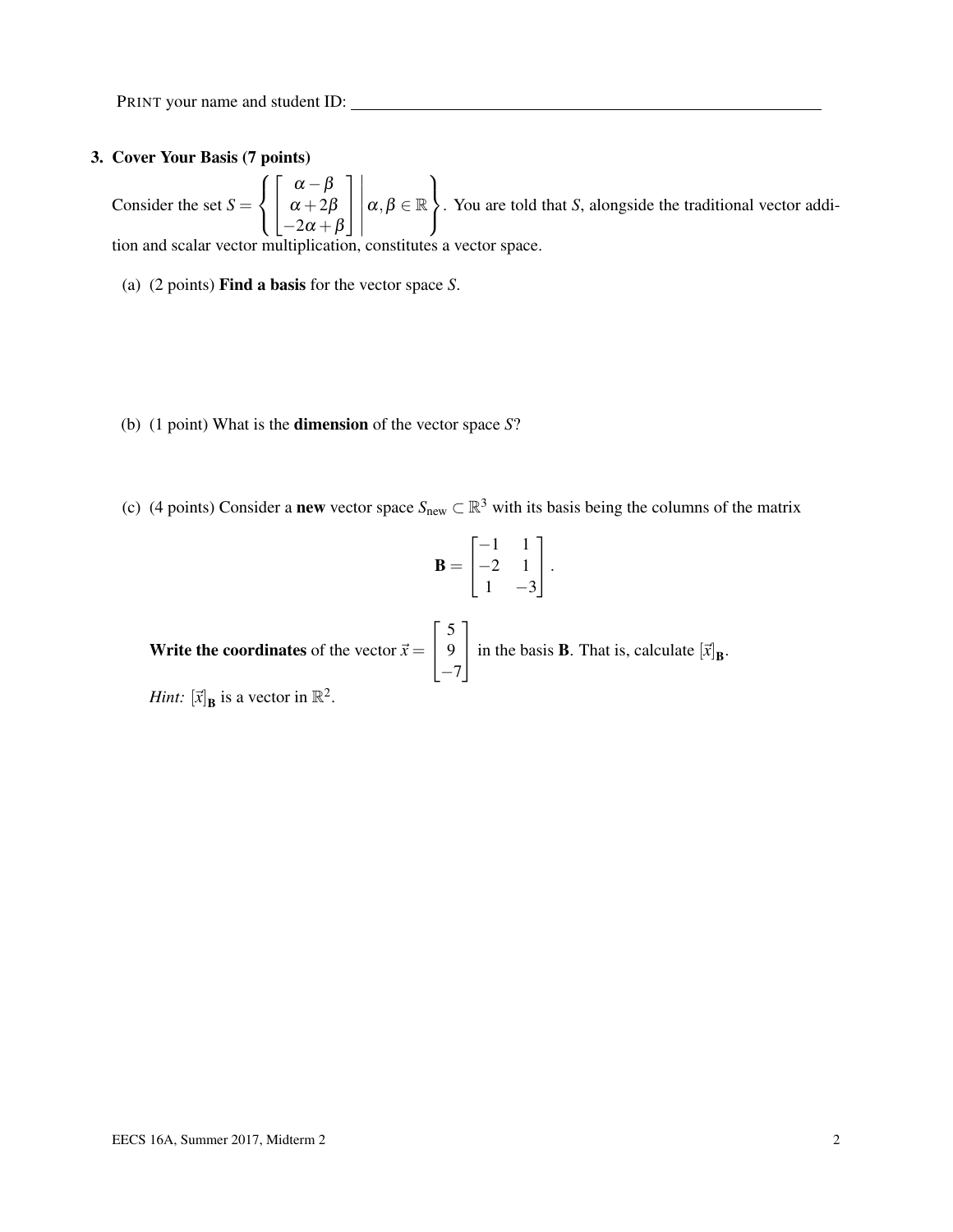#### 3. Cover Your Basis (7 points)

Consider the set  $S =$  $\sqrt{ }$  $\left| \right|$  $\mathcal{L}$  $\sqrt{ }$  $\overline{1}$  $\alpha-\beta$  $\alpha+2\beta$  $-2\alpha + \beta$ 1  $\overline{1}$   $\alpha, \beta \in \mathbb{R}$  $\mathcal{L}$  $\mathcal{L}$ J . You are told that *S*, alongside the traditional vector addition and scalar vector multiplication, constitutes a vector space.

- (a) (2 points) Find a basis for the vector space *S*.
- (b) (1 point) What is the dimension of the vector space *S*?
- (c) (4 points) Consider a **new** vector space  $S_{new} \subset \mathbb{R}^3$  with its basis being the columns of the matrix

$$
\mathbf{B} = \begin{bmatrix} -1 & 1 \\ -2 & 1 \\ 1 & -3 \end{bmatrix}.
$$

**Write the coordinates** of the vector  $\vec{x} =$  $\sqrt{ }$  $\overline{1}$ 5 9  $-7$ 1 in the basis **B**. That is, calculate  $[\vec{x}]_B$ . *Hint:*  $[\vec{x}]_\text{B}$  is a vector in  $\mathbb{R}^2$ .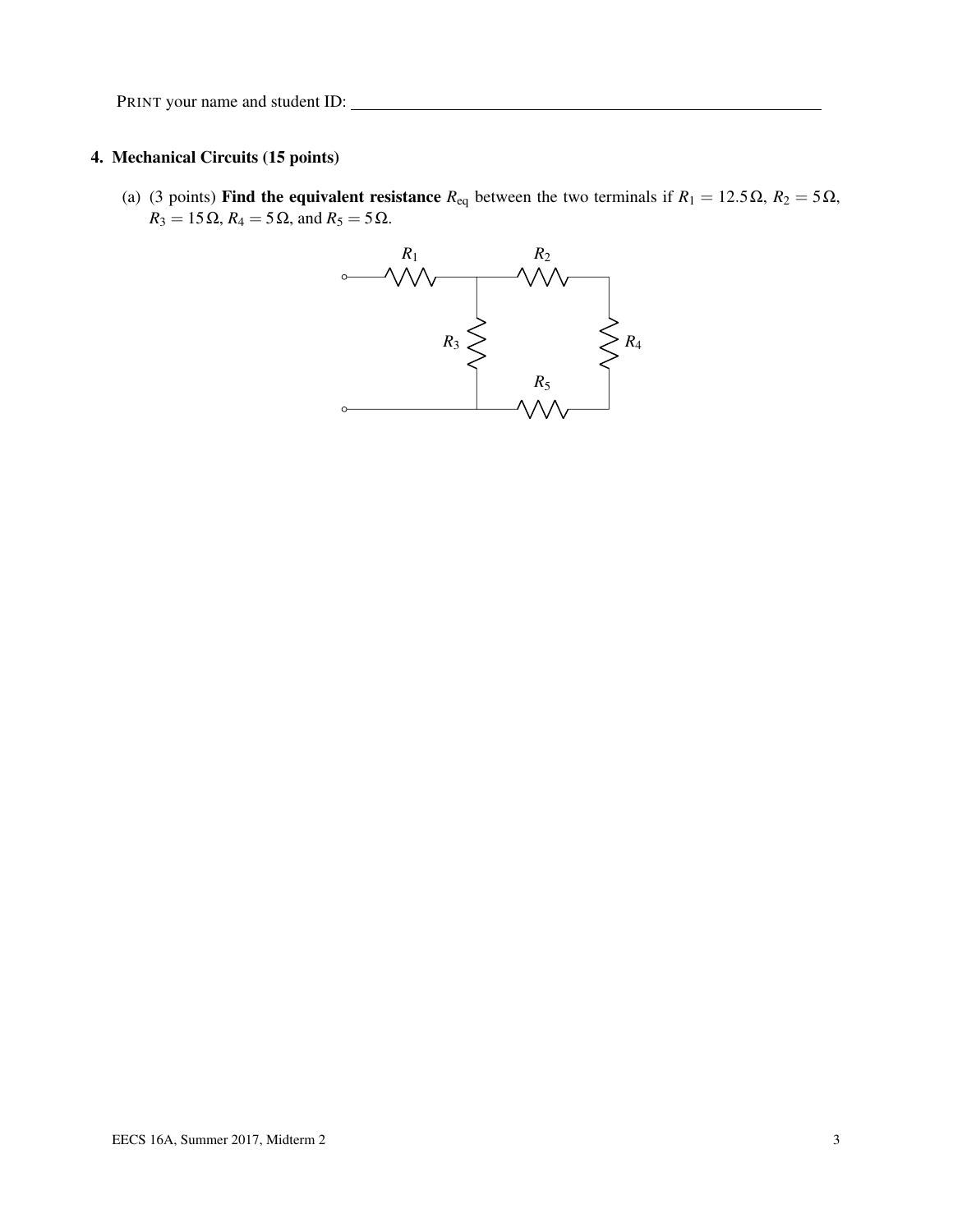#### 4. Mechanical Circuits (15 points)

(a) (3 points) Find the equivalent resistance  $R_{eq}$  between the two terminals if  $R_1 = 12.5 \Omega$ ,  $R_2 = 5 \Omega$ ,  $R_3 = 15 \Omega$ ,  $R_4 = 5 \Omega$ , and  $R_5 = 5 \Omega$ .

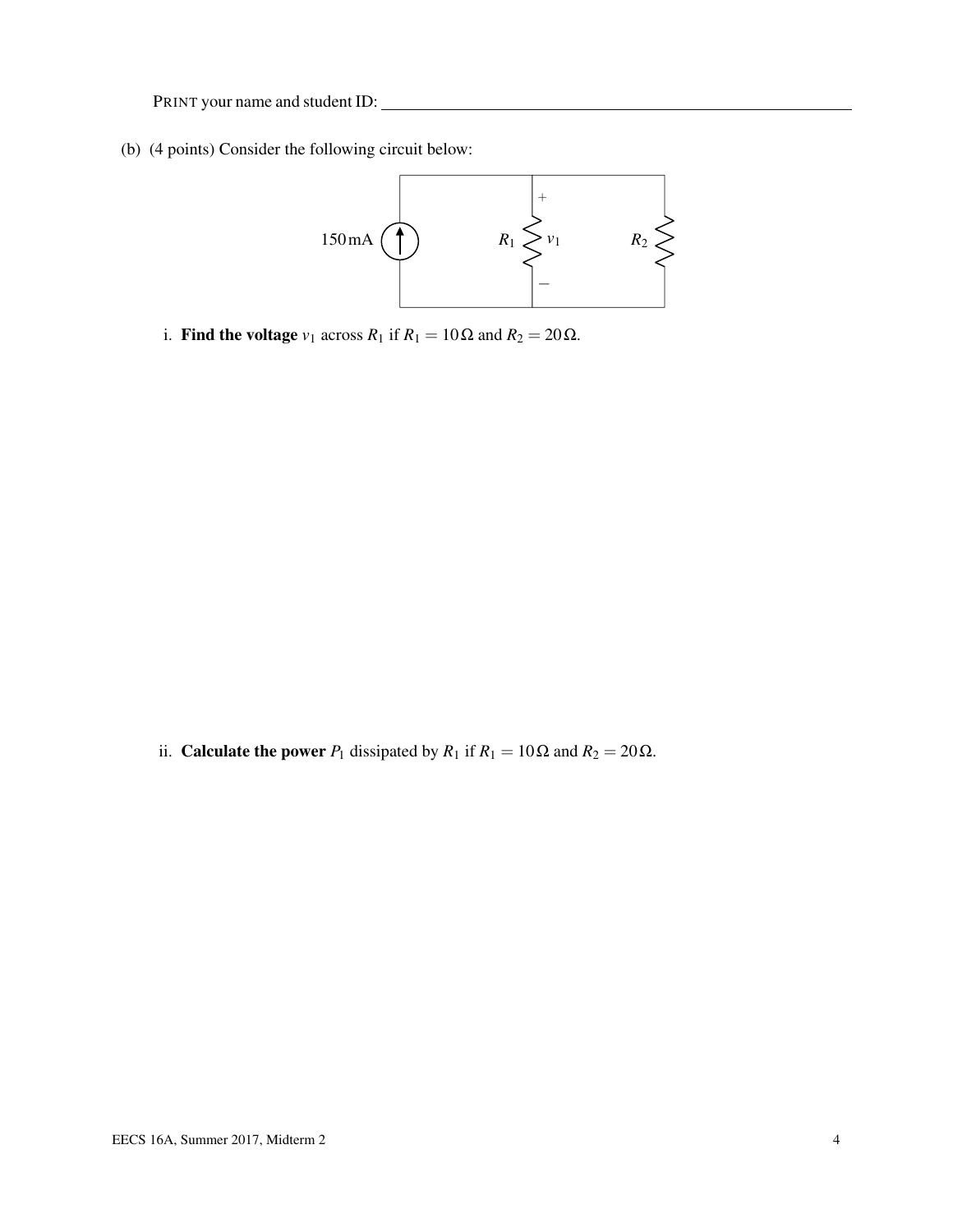(b) (4 points) Consider the following circuit below:



i. Find the voltage  $v_1$  across  $R_1$  if  $R_1 = 10 \Omega$  and  $R_2 = 20 \Omega$ .

ii. **Calculate the power**  $P_1$  dissipated by  $R_1$  if  $R_1 = 10 \Omega$  and  $R_2 = 20 \Omega$ .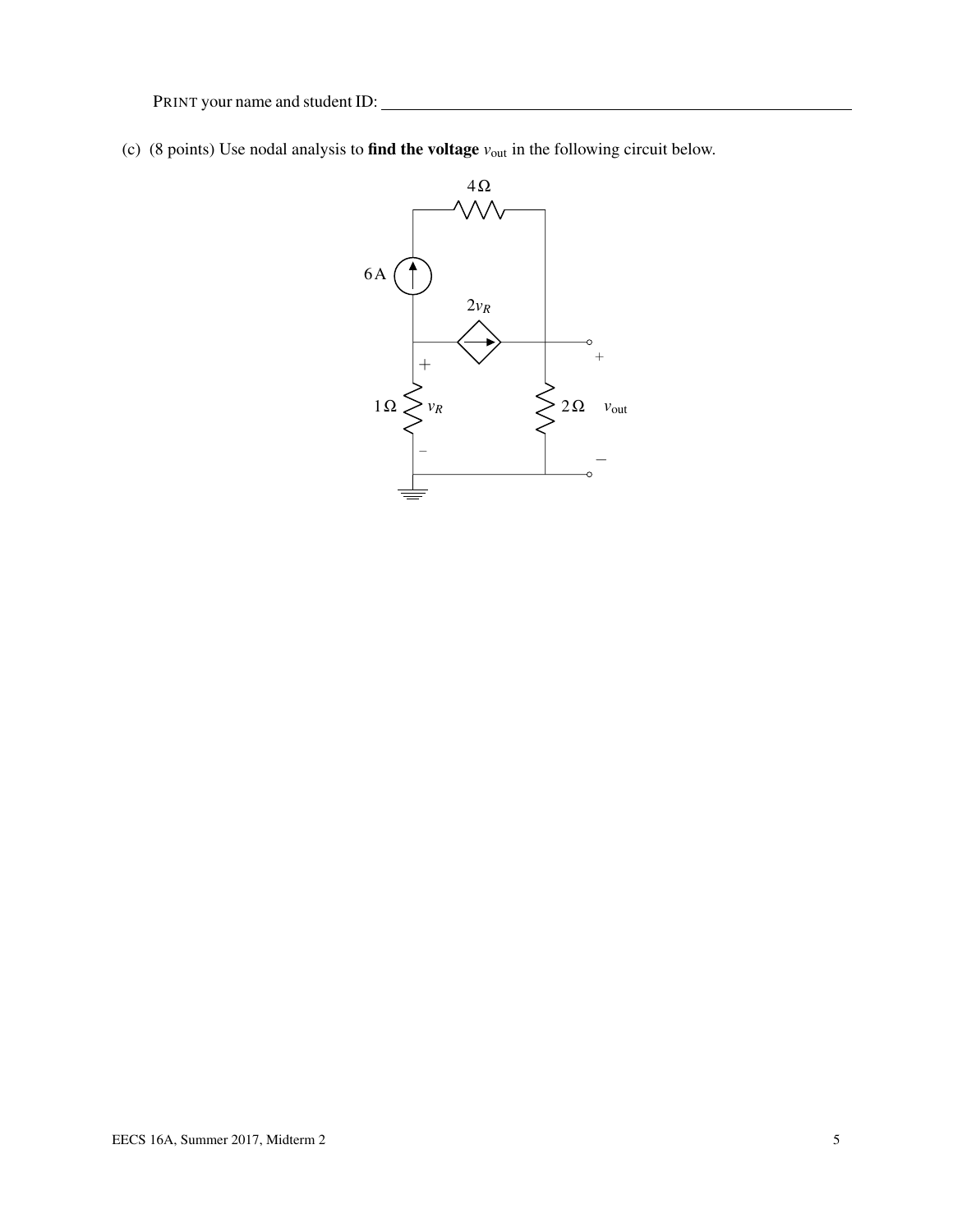(c) (8 points) Use nodal analysis to find the voltage *v*out in the following circuit below.

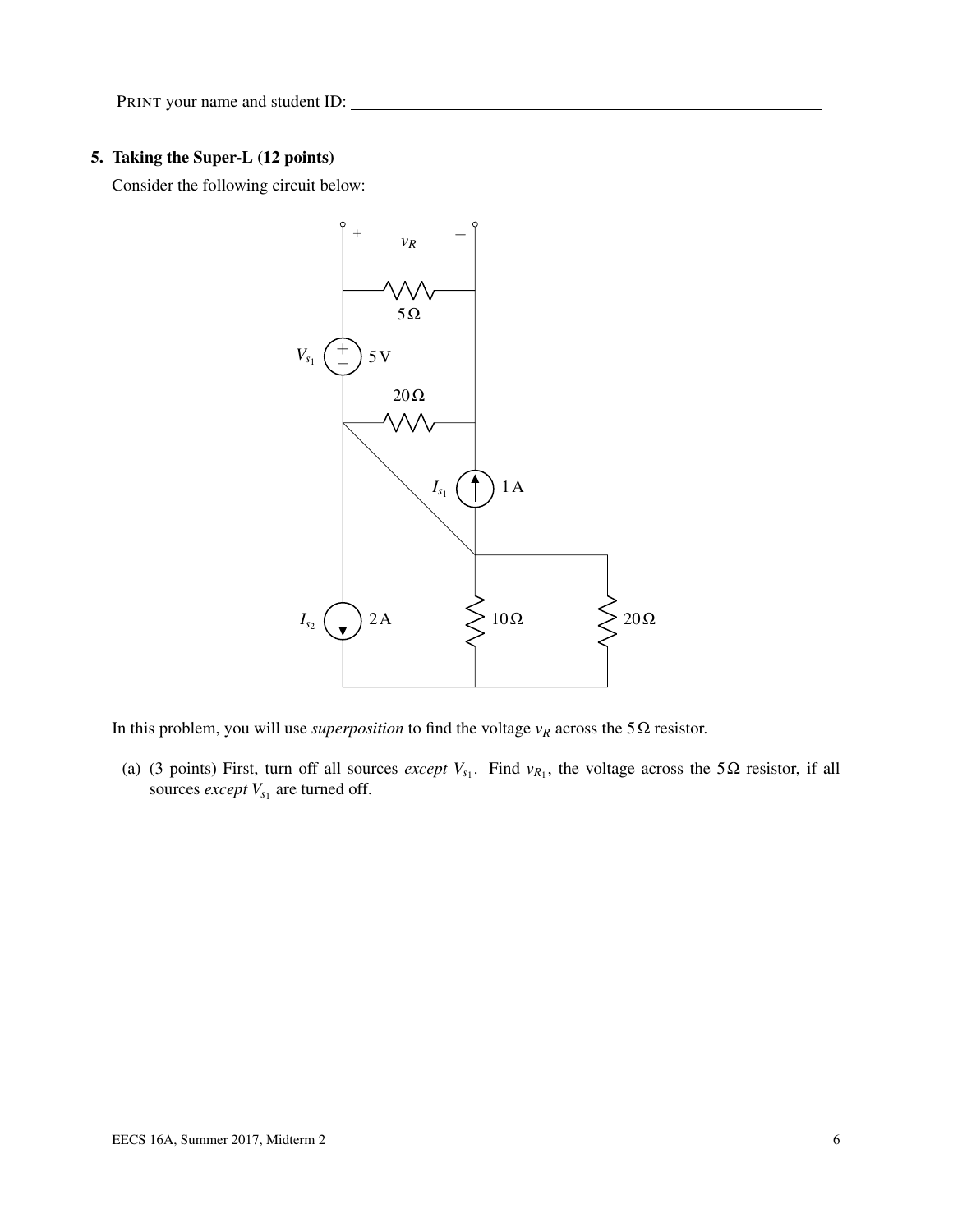### 5. Taking the Super-L (12 points)

Consider the following circuit below:



In this problem, you will use *superposition* to find the voltage  $v_R$  across the 5 $\Omega$  resistor.

(a) (3 points) First, turn off all sources *except*  $V_{s_1}$ . Find  $v_{R_1}$ , the voltage across the 5 $\Omega$  resistor, if all sources *except*  $V_{s_1}$  are turned off.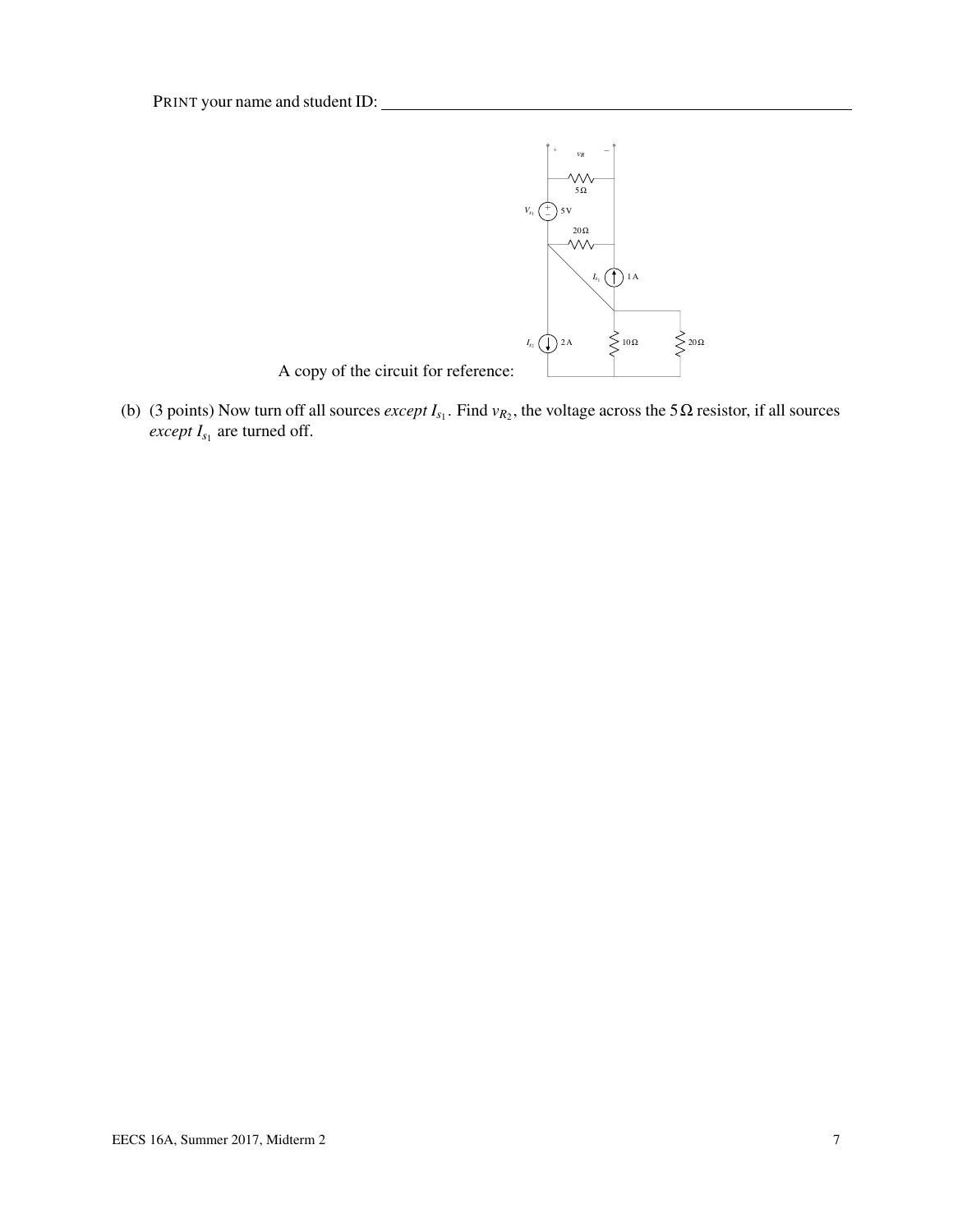

A copy of the circuit for reference:

(b) (3 points) Now turn off all sources *except*  $I_{s_1}$ . Find  $v_{R_2}$ , the voltage across the 5 $\Omega$  resistor, if all sources *except*  $I_{s_1}$  are turned off.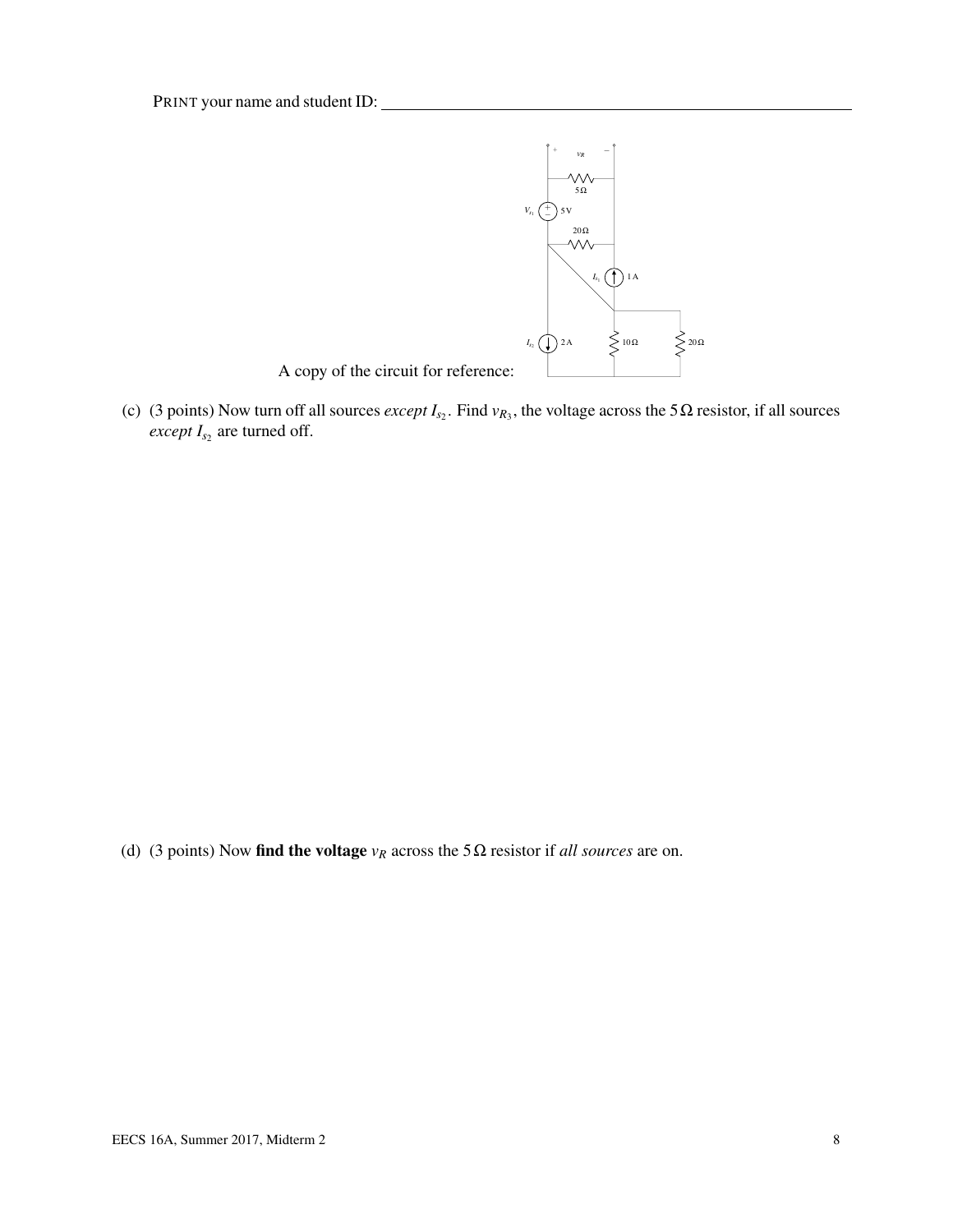

(c) (3 points) Now turn off all sources *except*  $I_{s_2}$ . Find  $v_{R_3}$ , the voltage across the 5 $\Omega$  resistor, if all sources *except*  $I_{s_2}$  are turned off.

(d) (3 points) Now find the voltage  $v_R$  across the 5 $\Omega$  resistor if *all sources* are on.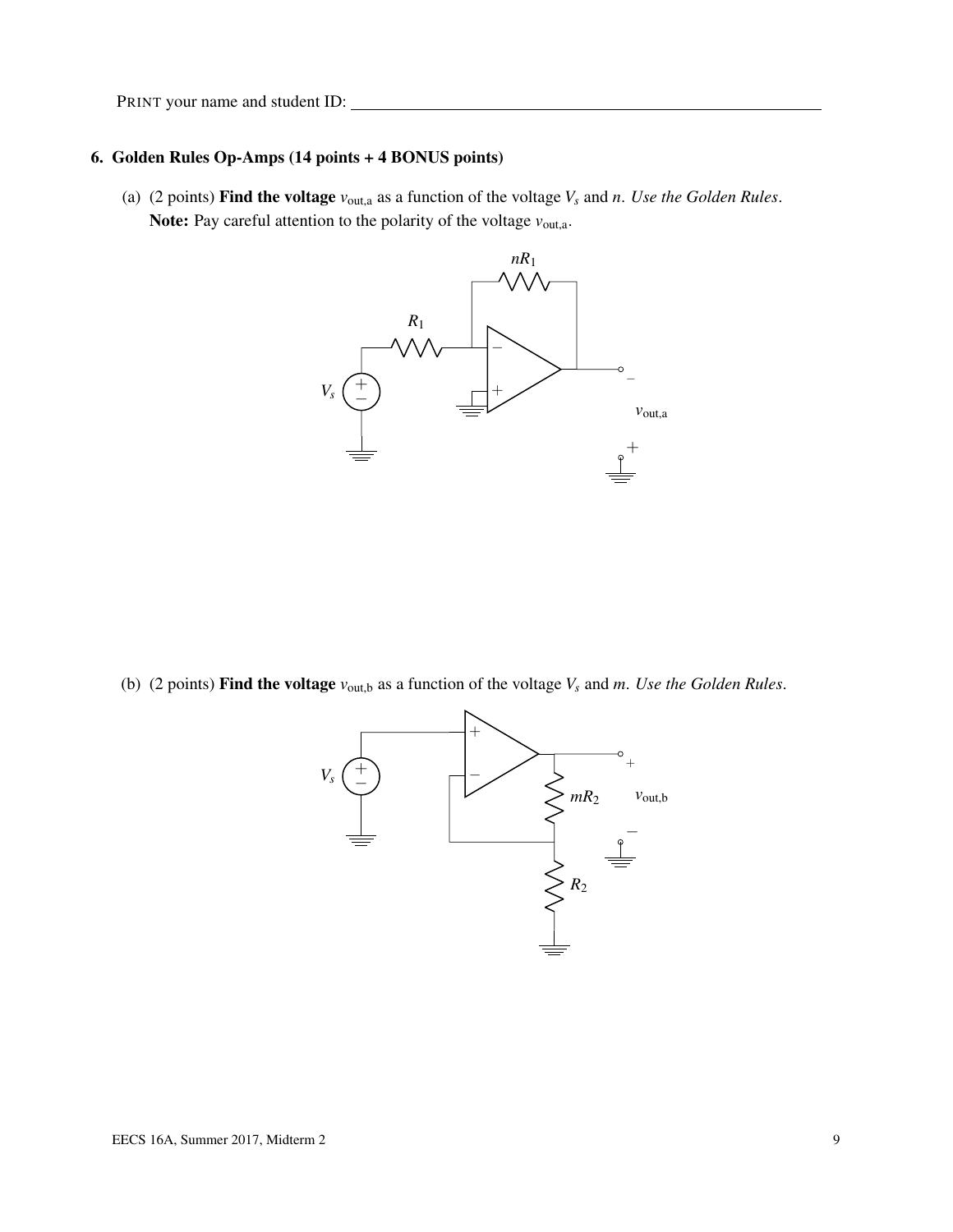#### 6. Golden Rules Op-Amps (14 points + 4 BONUS points)

(a) (2 points) **Find the voltage**  $v_{\text{out,a}}$  as a function of the voltage  $V_s$  and  $n$ . Use the Golden Rules. Note: Pay careful attention to the polarity of the voltage  $v_{\text{out,a}}$ .



(b) (2 points) Find the voltage  $v_{\text{out},b}$  as a function of the voltage  $V_s$  and  $m$ . Use the Golden Rules.

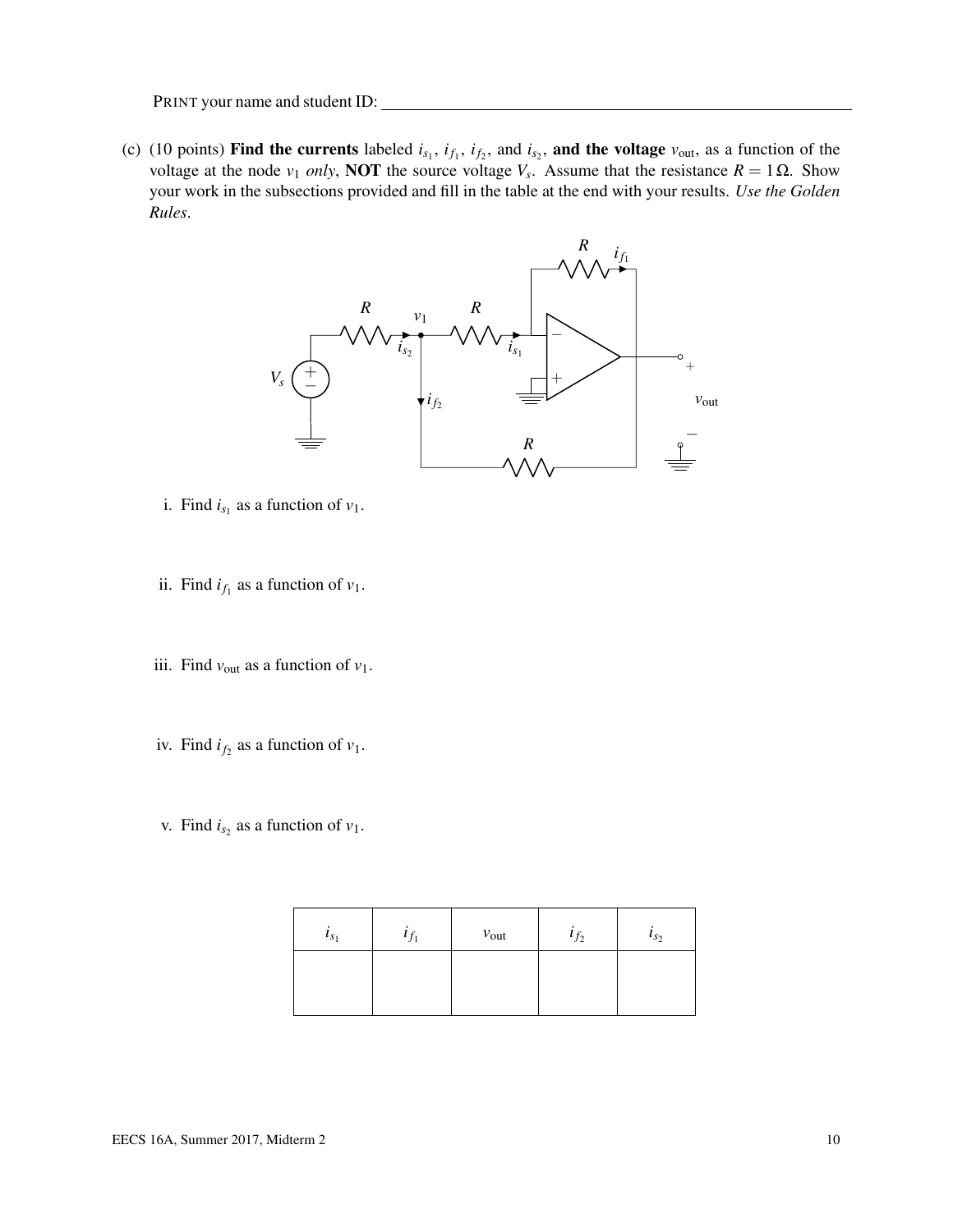<span id="page-9-0"></span>(c) (10 points) Find the currents labeled  $i_{s_1}$ ,  $i_{f_1}$ ,  $i_{f_2}$ , and  $i_{s_2}$ , and the voltage  $v_{\text{out}}$ , as a function of the voltage at the node *v*<sub>1</sub> *only*, **NOT** the source voltage *V<sub>s</sub>*. Assume that the resistance  $R = 1 Ω$ . Show your work in the subsections provided and fill in the table at the end with your results. *Use the Golden Rules*.



- i. Find  $i_{s_1}$  as a function of  $v_1$ .
- ii. Find  $i_{f_1}$  as a function of  $v_1$ .
- iii. Find  $v_{\text{out}}$  as a function of  $v_1$ .
- iv. Find  $i_{f_2}$  as a function of  $v_1$ .
- v. Find  $i_{s_2}$  as a function of  $v_1$ .

| $\iota_{s_1}$ | $v_{\text{out}}$ | $l_{f_2}$ | $\iota_{s_2}$ |
|---------------|------------------|-----------|---------------|
|               |                  |           |               |
|               |                  |           |               |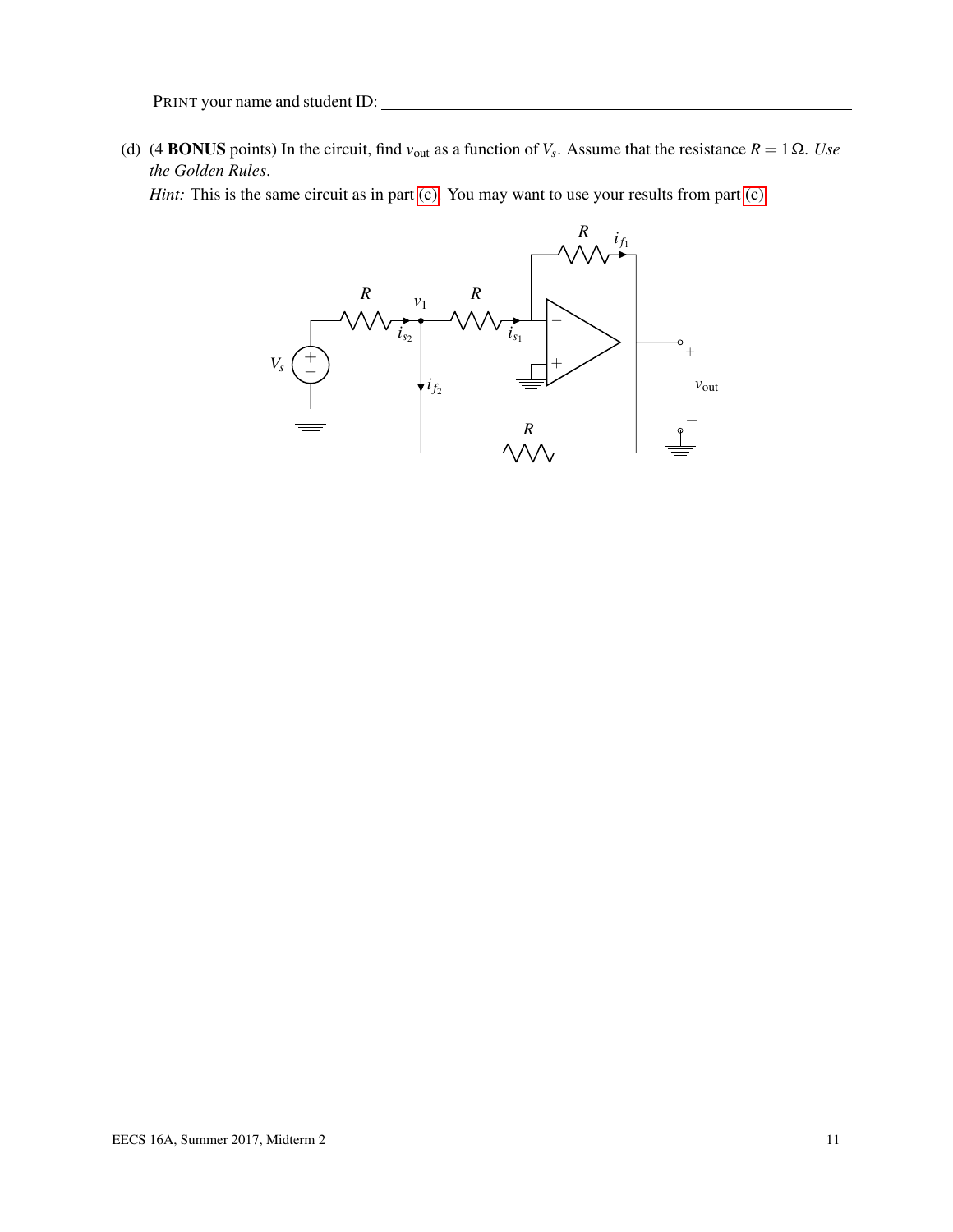(d) (4 **BONUS** points) In the circuit, find  $v_{\text{out}}$  as a function of  $V_s$ . Assume that the resistance  $R = 1 \Omega$ . *Use the Golden Rules*.

*Hint:* This is the same circuit as in part [\(c\).](#page-9-0) You may want to use your results from part (c).

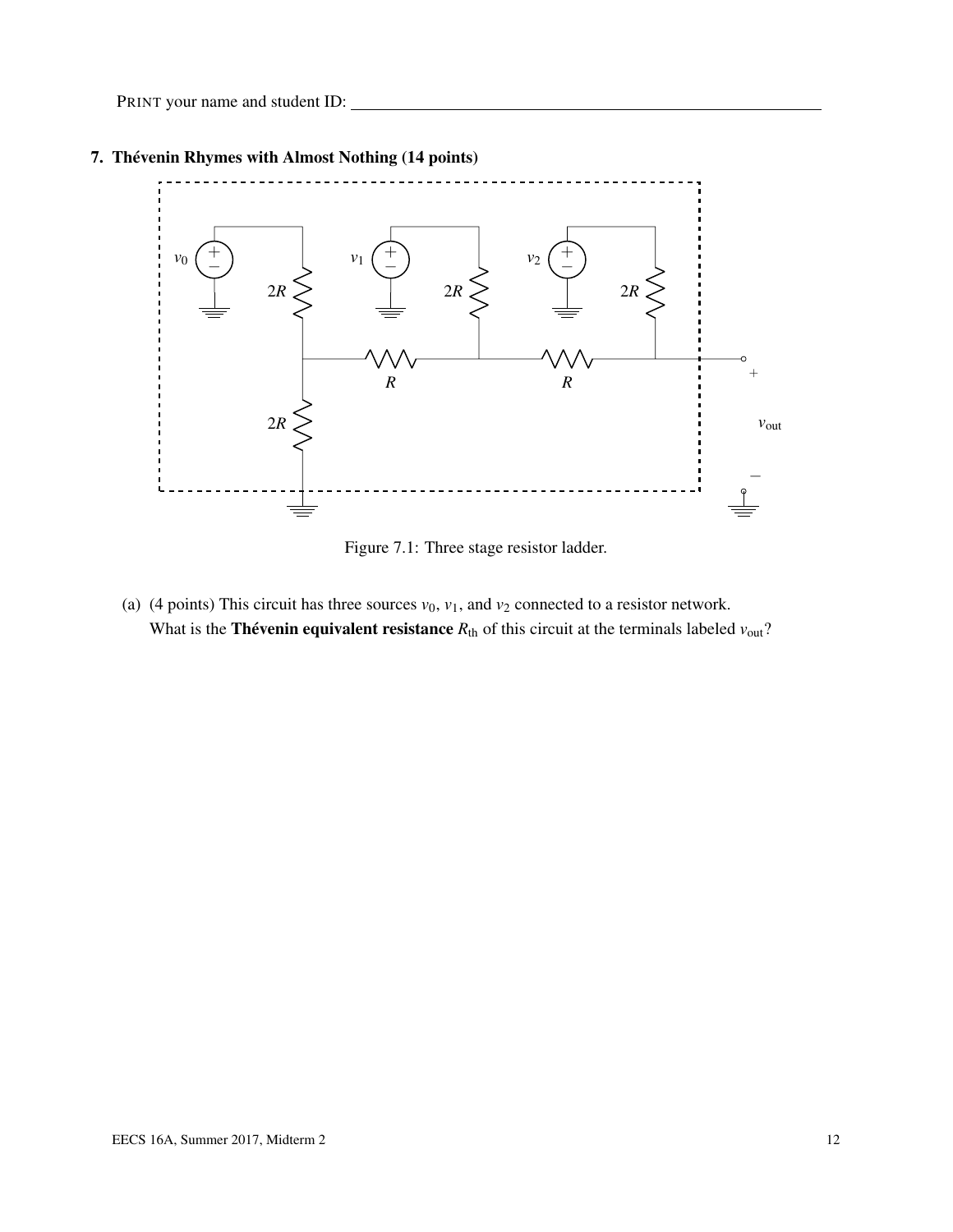

### 7. Thévenin Rhymes with Almost Nothing (14 points)

Figure 7.1: Three stage resistor ladder.

(a) (4 points) This circuit has three sources  $v_0$ ,  $v_1$ , and  $v_2$  connected to a resistor network. What is the **Thévenin equivalent resistance**  $R_{\text{th}}$  of this circuit at the terminals labeled  $v_{\text{out}}$ ?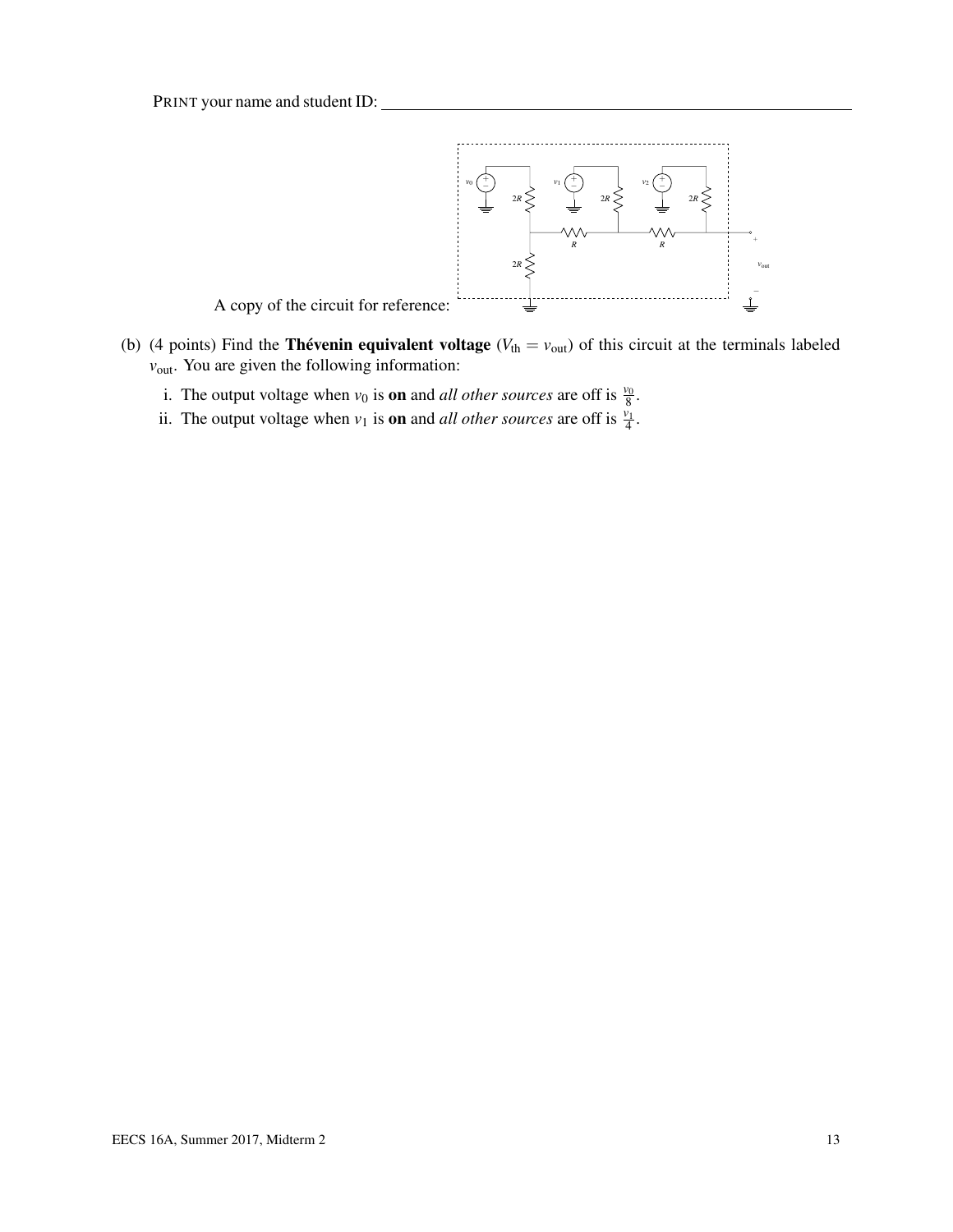

- (b) (4 points) Find the **Thévenin equivalent voltage** ( $V_{th} = v_{out}$ ) of this circuit at the terminals labeled  $v_{\text{out}}$ . You are given the following information:
	- i. The output voltage when  $v_0$  is **on** and *all other sources* are off is  $\frac{v_0}{8}$ .
	- ii. The output voltage when  $v_1$  is **on** and *all other sources* are off is  $\frac{v_1}{4}$ .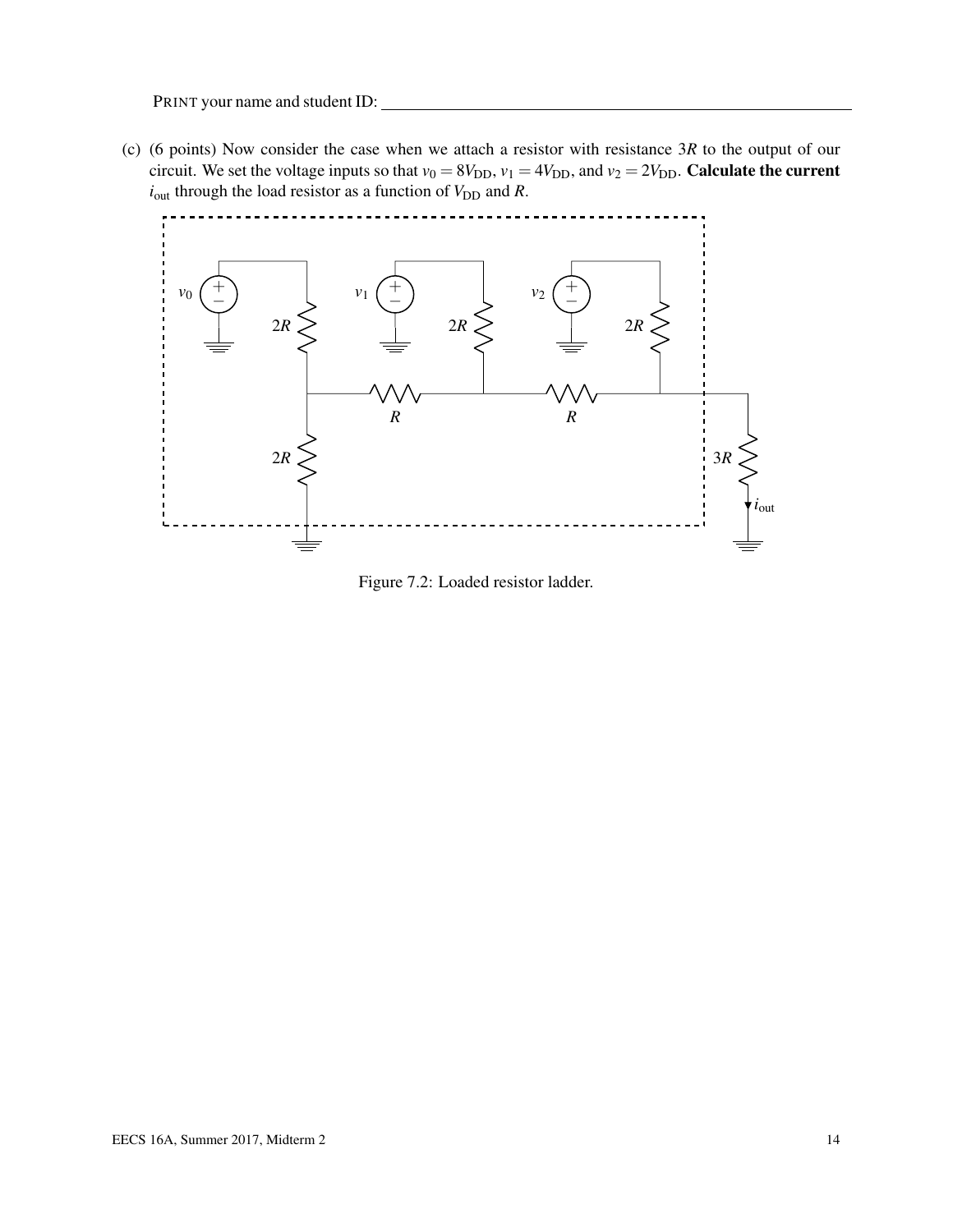(c) (6 points) Now consider the case when we attach a resistor with resistance 3*R* to the output of our circuit. We set the voltage inputs so that  $v_0 = 8V_{DD}$ ,  $v_1 = 4V_{DD}$ , and  $v_2 = 2V_{DD}$ . Calculate the current  $i_{\text{out}}$  through the load resistor as a function of  $V_{\text{DD}}$  and  $R$ .



Figure 7.2: Loaded resistor ladder.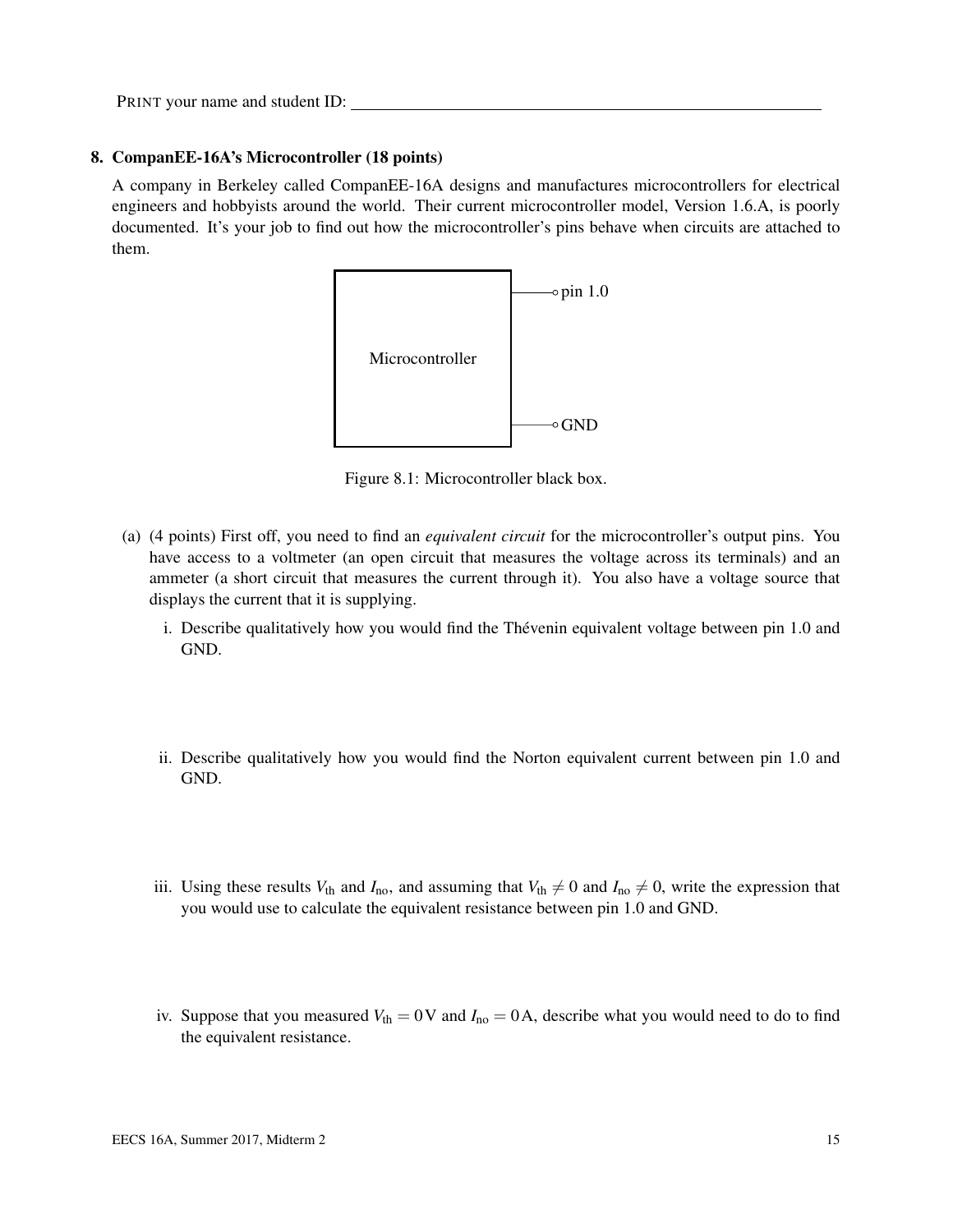#### 8. CompanEE-16A's Microcontroller (18 points)

A company in Berkeley called CompanEE-16A designs and manufactures microcontrollers for electrical engineers and hobbyists around the world. Their current microcontroller model, Version 1.6.A, is poorly documented. It's your job to find out how the microcontroller's pins behave when circuits are attached to them.



Figure 8.1: Microcontroller black box.

- <span id="page-14-0"></span>(a) (4 points) First off, you need to find an *equivalent circuit* for the microcontroller's output pins. You have access to a voltmeter (an open circuit that measures the voltage across its terminals) and an ammeter (a short circuit that measures the current through it). You also have a voltage source that displays the current that it is supplying.
	- i. Describe qualitatively how you would find the Thévenin equivalent voltage between pin 1.0 and GND.
	- ii. Describe qualitatively how you would find the Norton equivalent current between pin 1.0 and GND.
	- iii. Using these results  $V_{th}$  and  $I_{no}$ , and assuming that  $V_{th} \neq 0$  and  $I_{no} \neq 0$ , write the expression that you would use to calculate the equivalent resistance between pin 1.0 and GND.
	- iv. Suppose that you measured  $V_{\text{th}} = 0$  V and  $I_{\text{no}} = 0$  A, describe what you would need to do to find the equivalent resistance.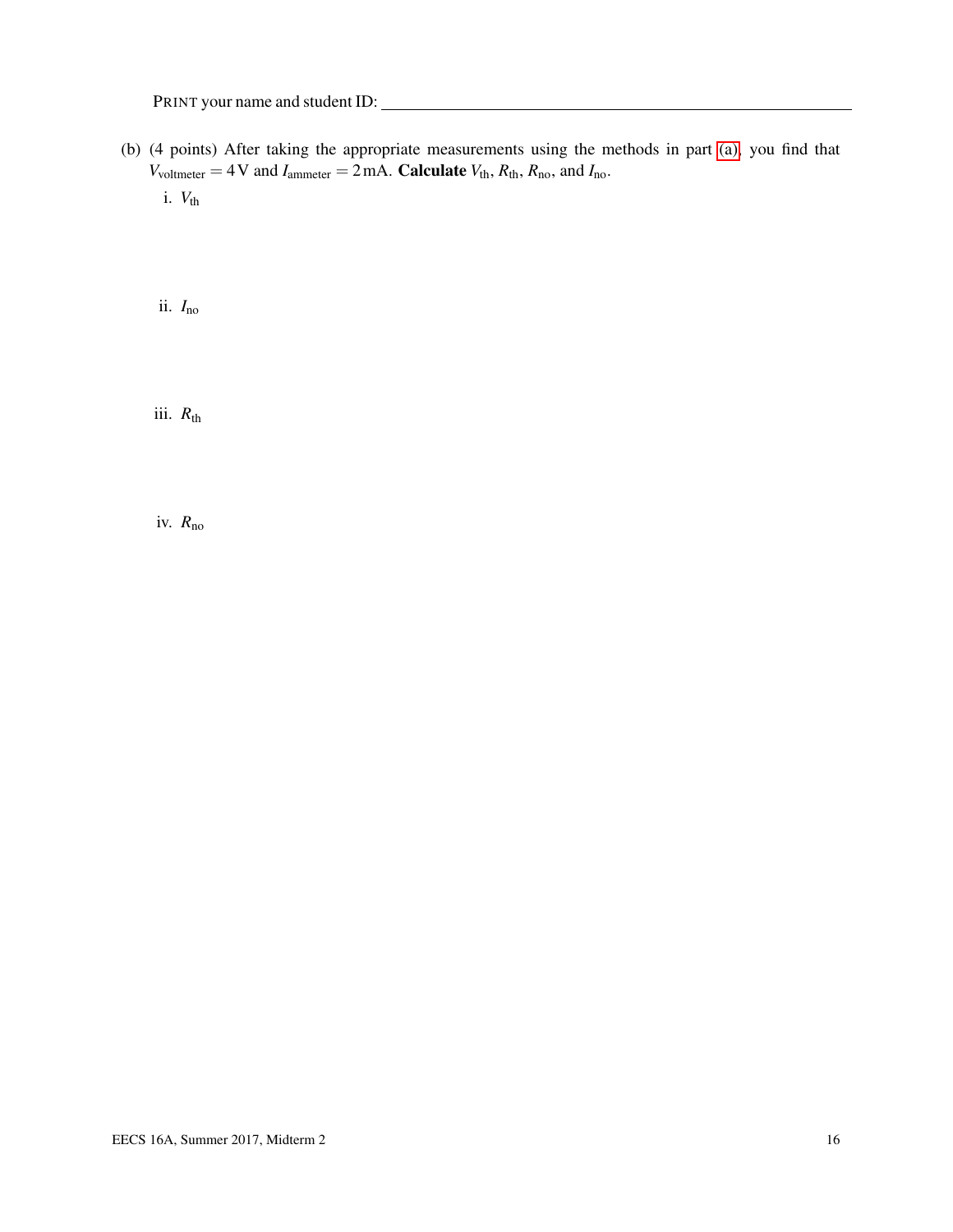(b) (4 points) After taking the appropriate measurements using the methods in part [\(a\),](#page-14-0) you find that  $V_{voltmeter} = 4 \text{ V}$  and  $I_{\text{ammeter}} = 2 \text{ mA}$ . **Calculate**  $V_{\text{th}}$ ,  $R_{\text{th}}$ ,  $R_{\text{no}}$ , and  $I_{\text{no}}$ .

i.  $V_{th}$ 

ii. *I*no

iii.  $R_{\rm th}$ 

iv. *R*no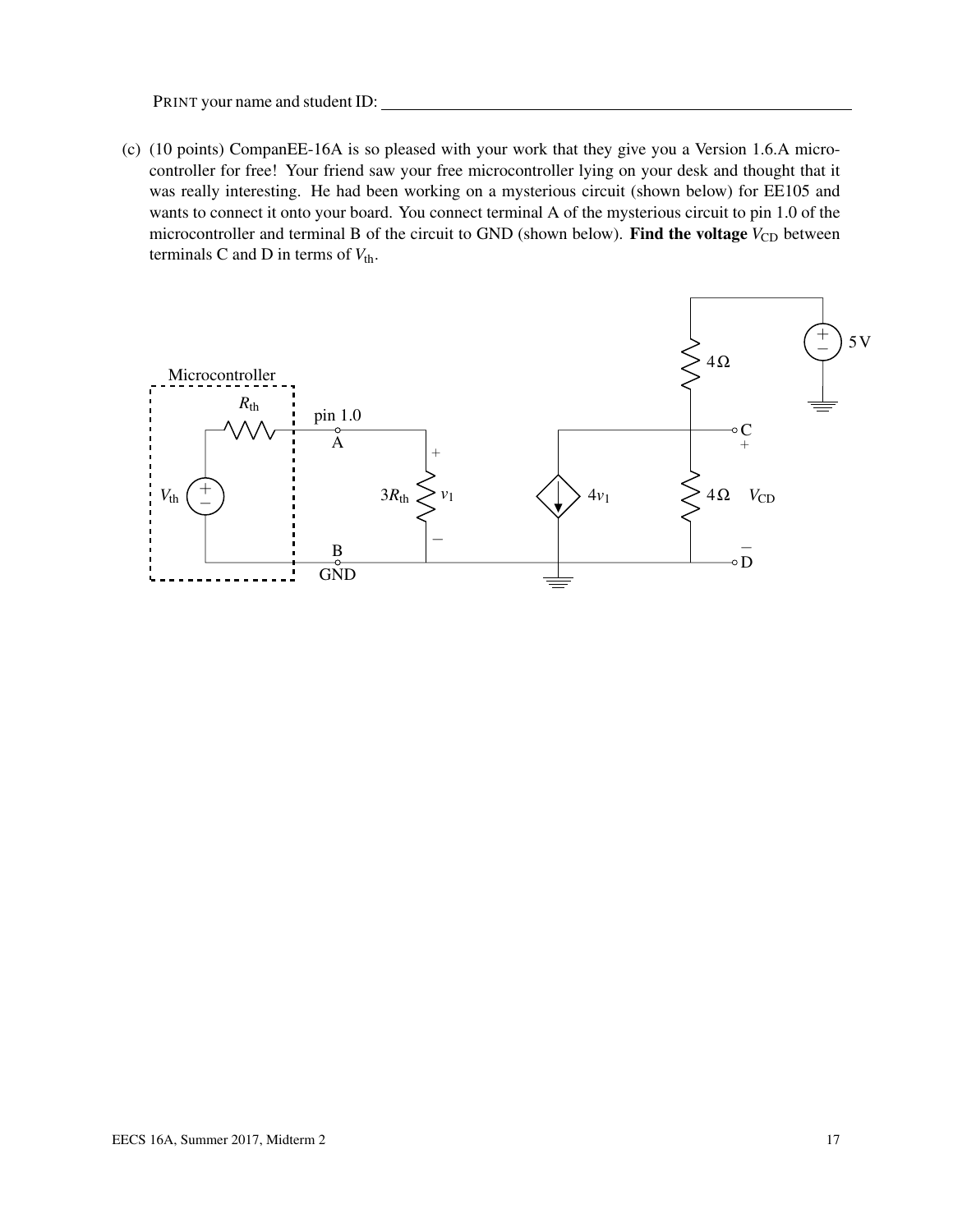(c) (10 points) CompanEE-16A is so pleased with your work that they give you a Version 1.6.A microcontroller for free! Your friend saw your free microcontroller lying on your desk and thought that it was really interesting. He had been working on a mysterious circuit (shown below) for EE105 and wants to connect it onto your board. You connect terminal A of the mysterious circuit to pin 1.0 of the microcontroller and terminal B of the circuit to GND (shown below). Find the voltage  $V_{CD}$  between terminals C and D in terms of  $V_{\text{th}}$ .

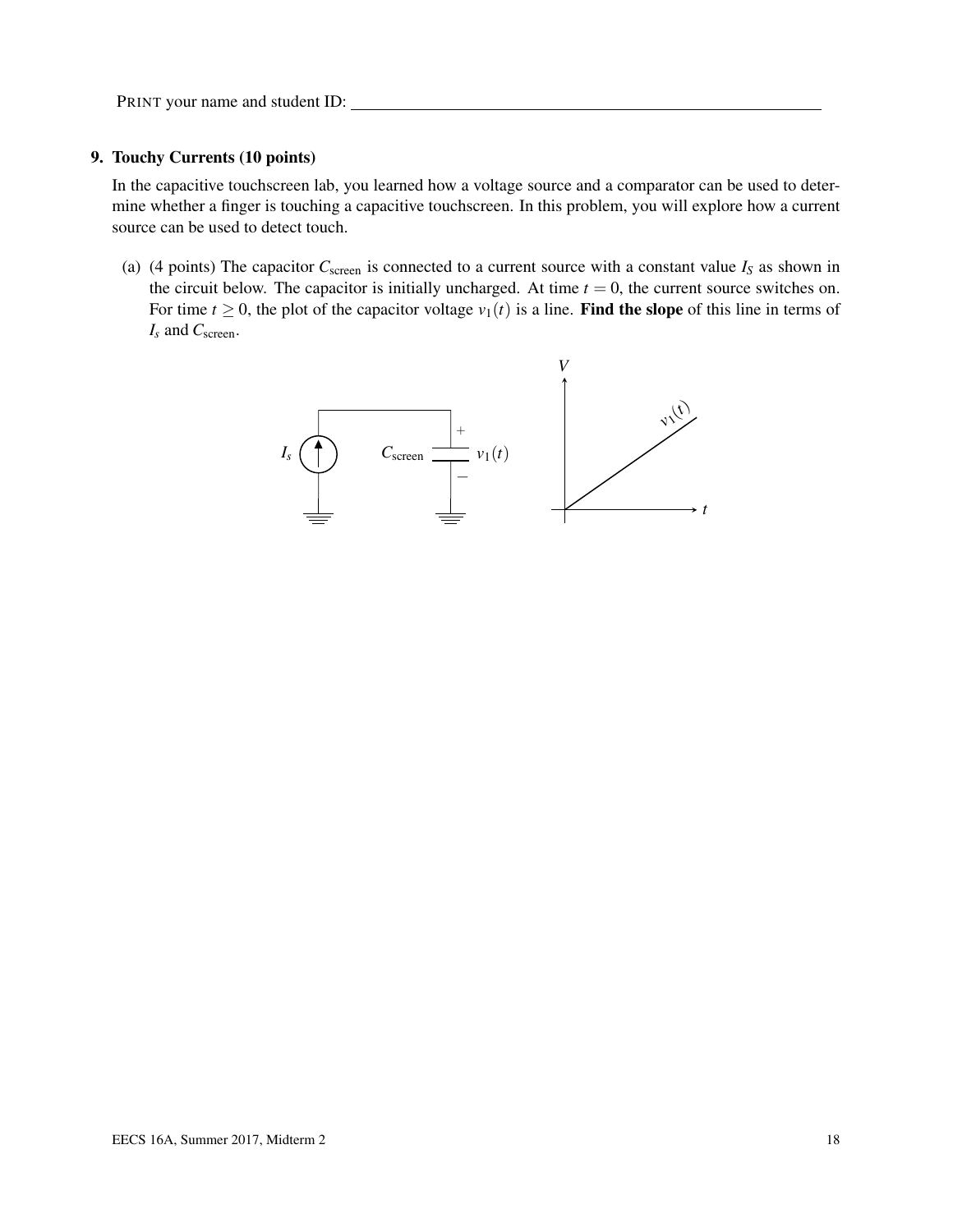#### 9. Touchy Currents (10 points)

In the capacitive touchscreen lab, you learned how a voltage source and a comparator can be used to determine whether a finger is touching a capacitive touchscreen. In this problem, you will explore how a current source can be used to detect touch.

(a) (4 points) The capacitor  $C_{\text{screen}}$  is connected to a current source with a constant value  $I_S$  as shown in the circuit below. The capacitor is initially uncharged. At time  $t = 0$ , the current source switches on. For time  $t \geq 0$ , the plot of the capacitor voltage  $v_1(t)$  is a line. Find the slope of this line in terms of *I<sup>s</sup>* and *C*screen.

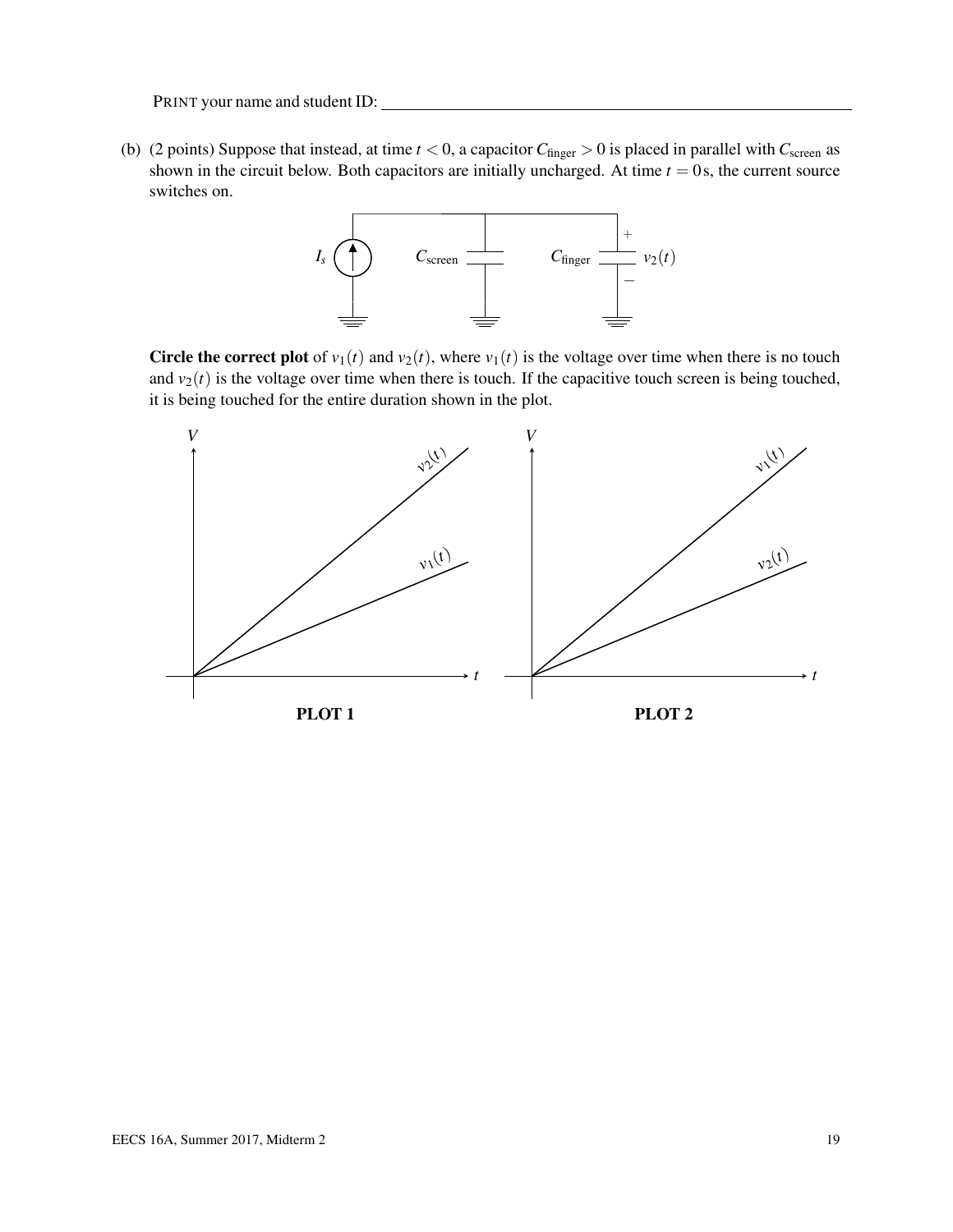<span id="page-18-0"></span>(b) (2 points) Suppose that instead, at time  $t < 0$ , a capacitor  $C_{\text{finger}} > 0$  is placed in parallel with  $C_{\text{screen}}$  as shown in the circuit below. Both capacitors are initially uncharged. At time  $t = 0$ s, the current source switches on.



Circle the correct plot of  $v_1(t)$  and  $v_2(t)$ , where  $v_1(t)$  is the voltage over time when there is no touch and  $v_2(t)$  is the voltage over time when there is touch. If the capacitive touch screen is being touched, it is being touched for the entire duration shown in the plot.

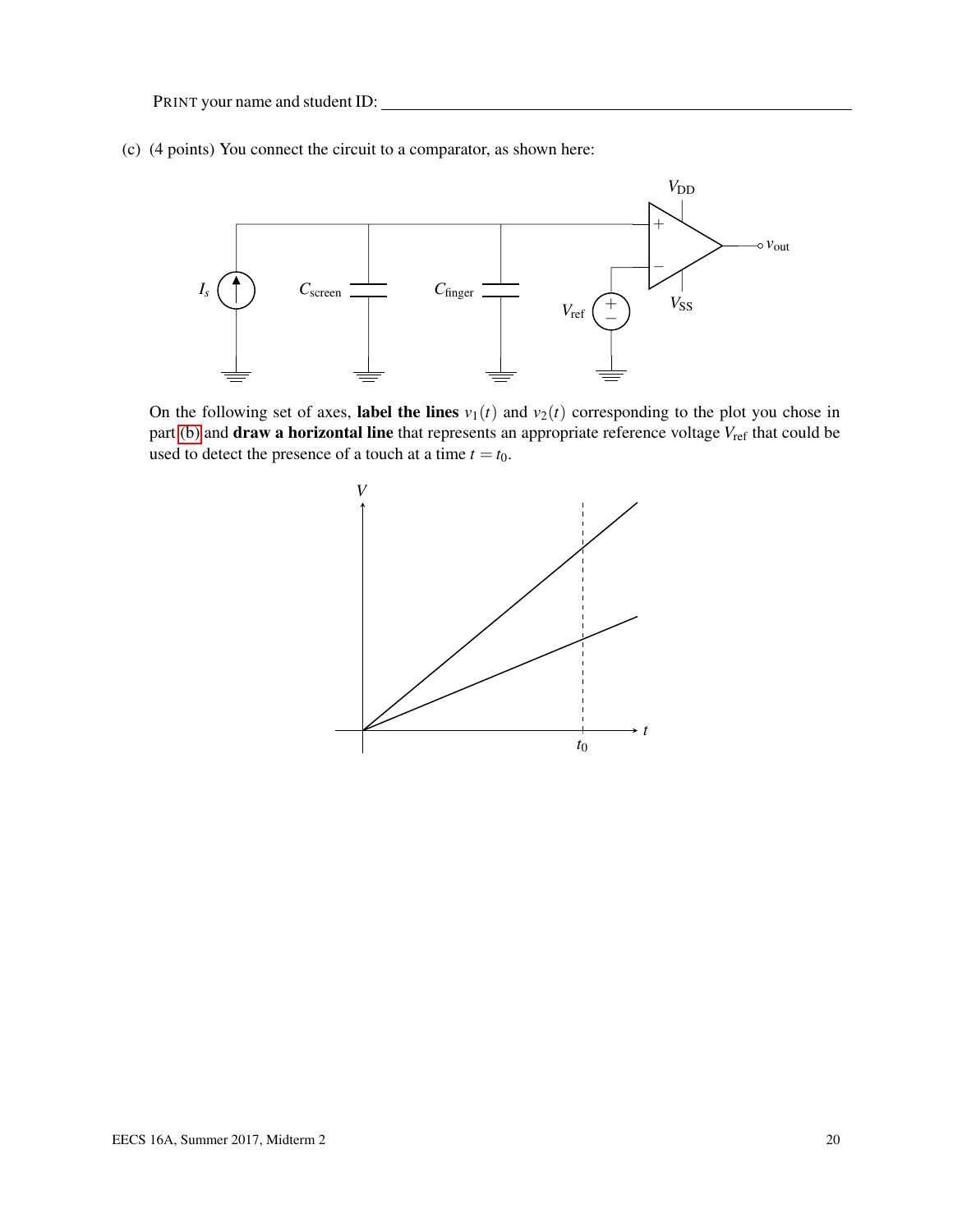(c) (4 points) You connect the circuit to a comparator, as shown here:



On the following set of axes, label the lines  $v_1(t)$  and  $v_2(t)$  corresponding to the plot you chose in part [\(b\)](#page-18-0) and **draw a horizontal line** that represents an appropriate reference voltage  $V_{\text{ref}}$  that could be used to detect the presence of a touch at a time  $t = t_0$ .

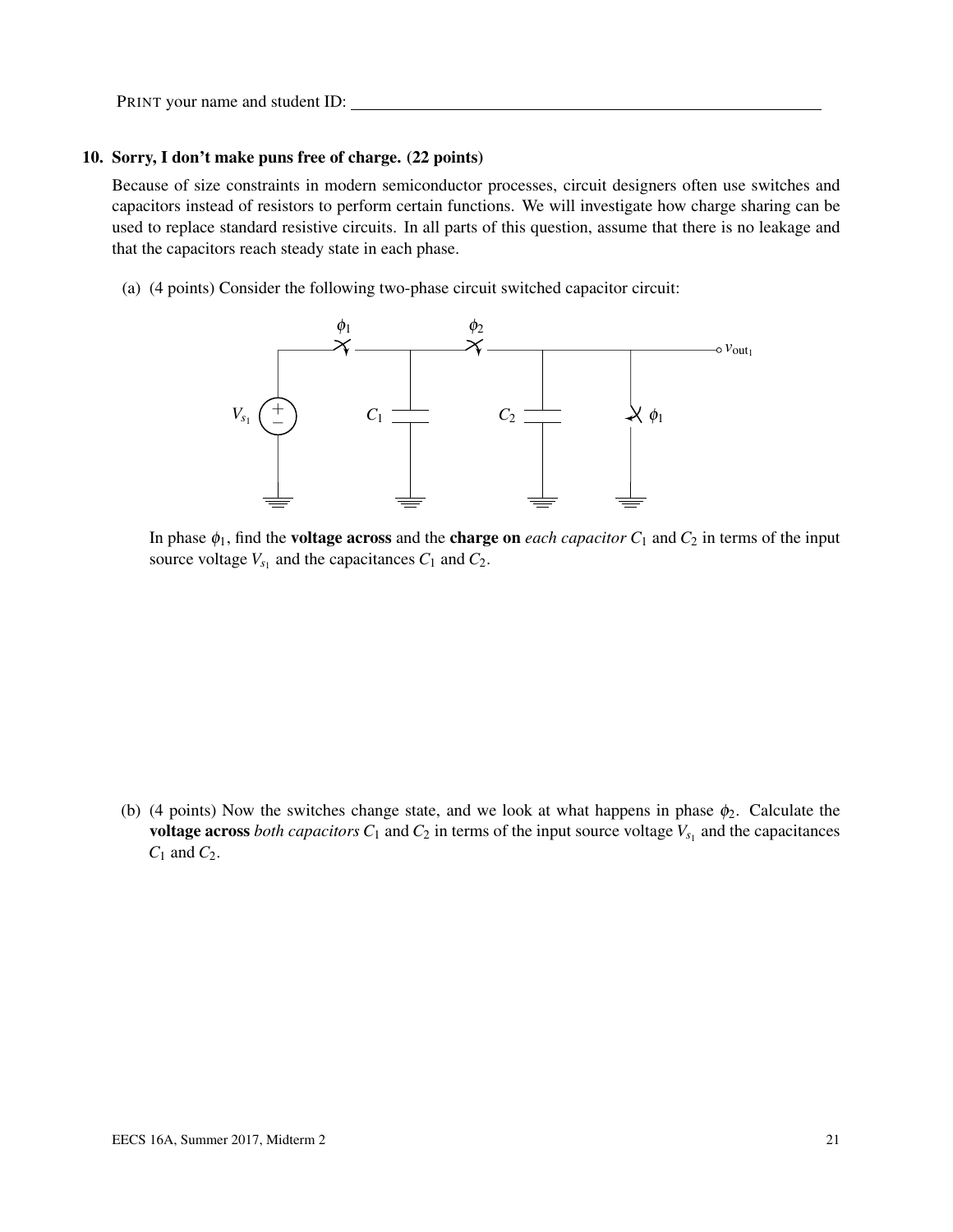#### 10. Sorry, I don't make puns free of charge. (22 points)

Because of size constraints in modern semiconductor processes, circuit designers often use switches and capacitors instead of resistors to perform certain functions. We will investigate how charge sharing can be used to replace standard resistive circuits. In all parts of this question, assume that there is no leakage and that the capacitors reach steady state in each phase.

(a) (4 points) Consider the following two-phase circuit switched capacitor circuit:



In phase  $\phi_1$ , find the **voltage across** and the **charge on** each capacitor  $C_1$  and  $C_2$  in terms of the input source voltage  $V_{s_1}$  and the capacitances  $C_1$  and  $C_2$ .

(b) (4 points) Now the switches change state, and we look at what happens in phase  $\phi_2$ . Calculate the voltage across *both capacitors*  $C_1$  and  $C_2$  in terms of the input source voltage  $V_{s_1}$  and the capacitances *C*<sup>1</sup> and *C*2.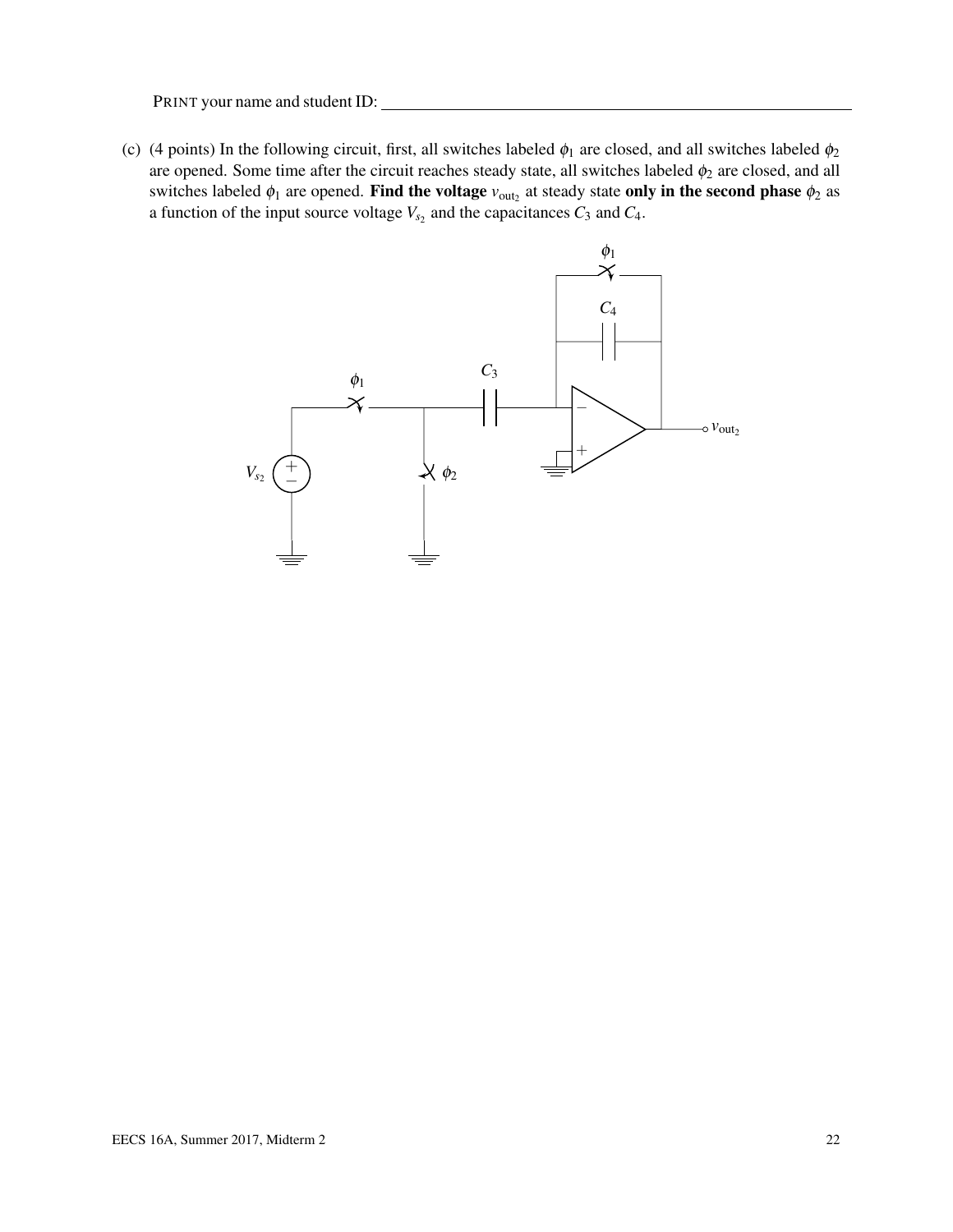(c) (4 points) In the following circuit, first, all switches labeled  $\phi_1$  are closed, and all switches labeled  $\phi_2$ are opened. Some time after the circuit reaches steady state, all switches labeled  $\phi_2$  are closed, and all switches labeled  $\phi_1$  are opened. Find the voltage  $v_{\text{out}_2}$  at steady state only in the second phase  $\phi_2$  as a function of the input source voltage  $V_{s_2}$  and the capacitances  $C_3$  and  $C_4$ .

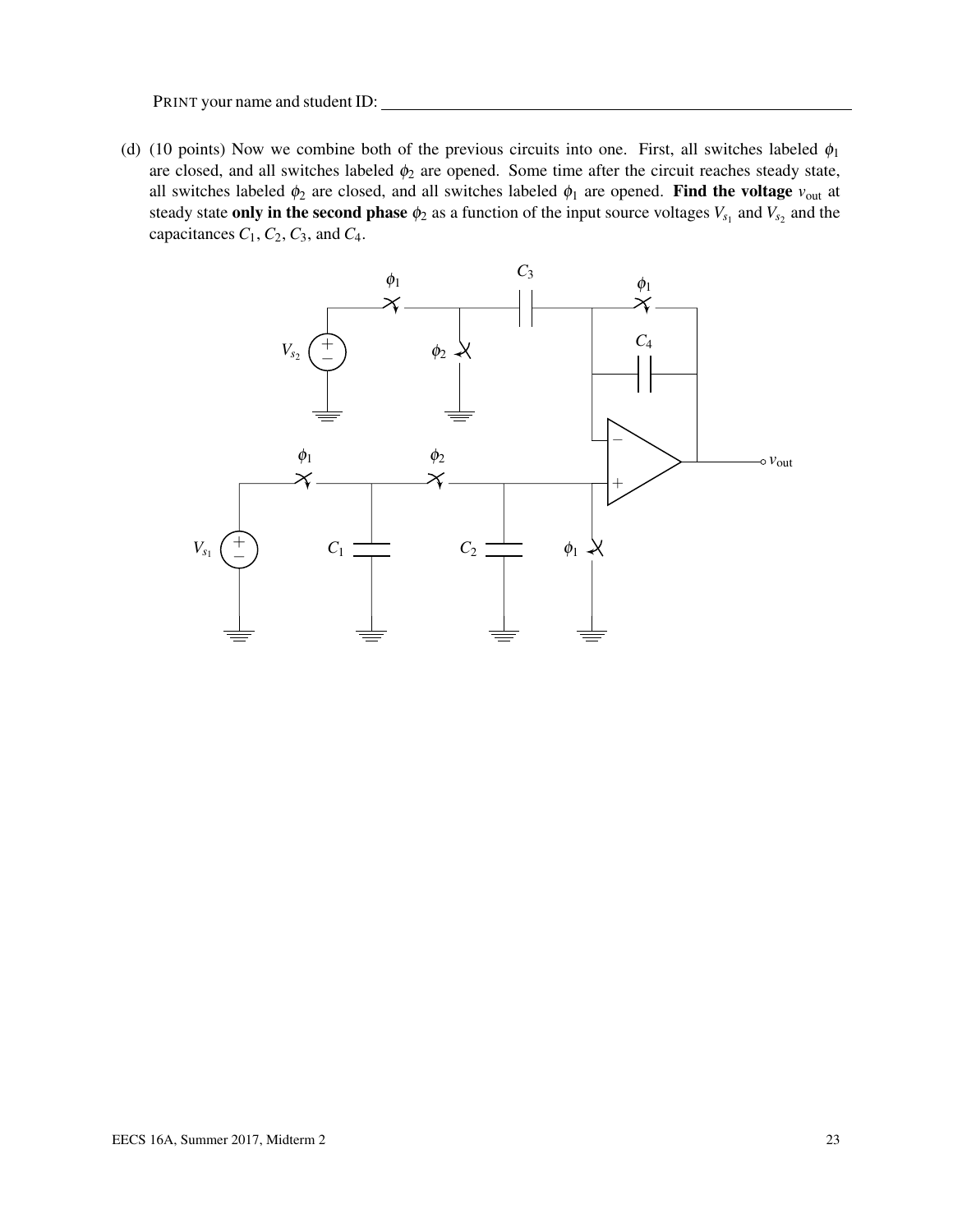(d) (10 points) Now we combine both of the previous circuits into one. First, all switches labeled  $\phi_1$ are closed, and all switches labeled  $\phi_2$  are opened. Some time after the circuit reaches steady state, all switches labeled  $\phi_2$  are closed, and all switches labeled  $\phi_1$  are opened. Find the voltage  $v_{\text{out}}$  at steady state **only in the second phase**  $\phi_2$  as a function of the input source voltages  $V_{s_1}$  and  $V_{s_2}$  and the capacitances  $C_1$ ,  $C_2$ ,  $C_3$ , and  $C_4$ .

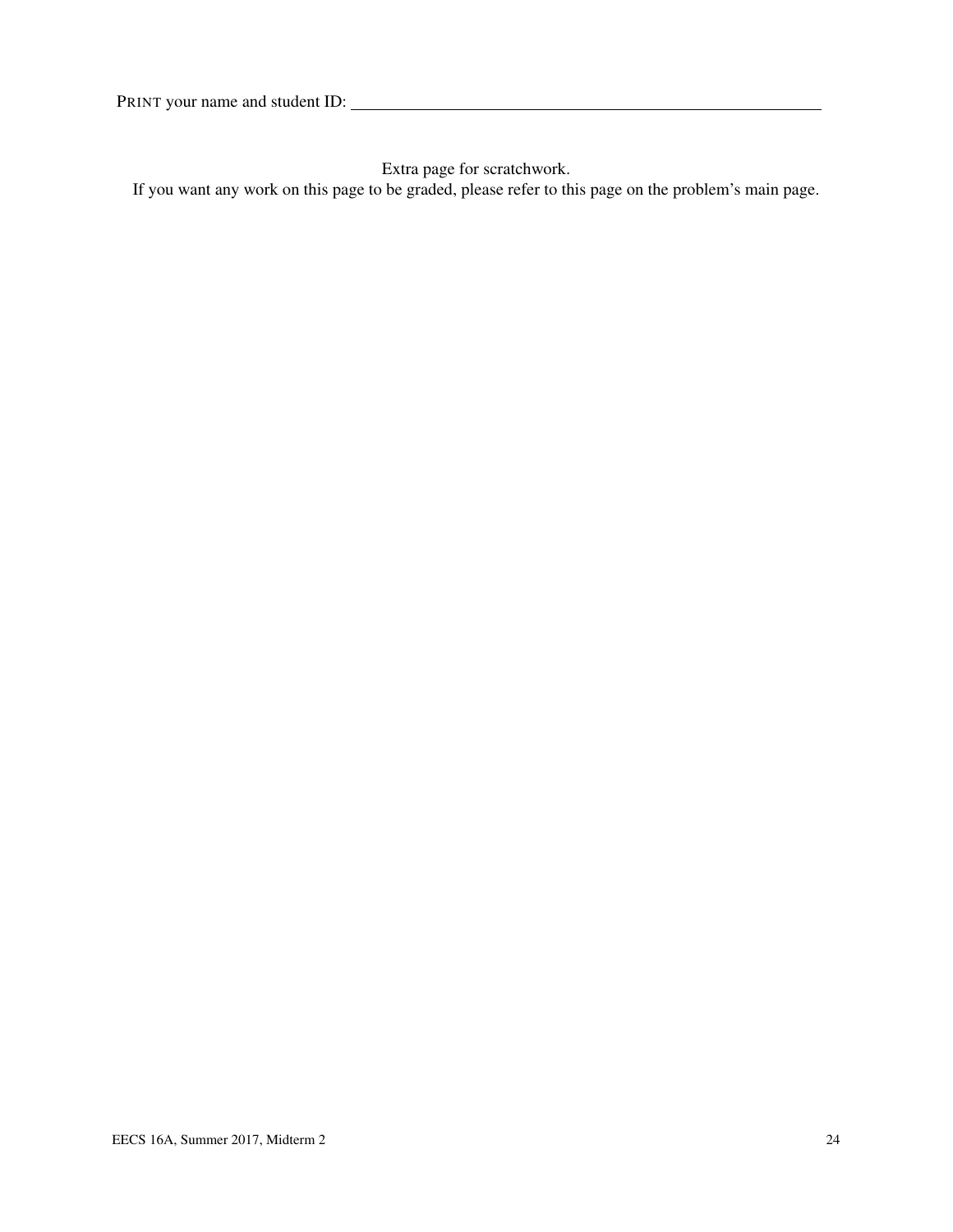Extra page for scratchwork.

If you want any work on this page to be graded, please refer to this page on the problem's main page.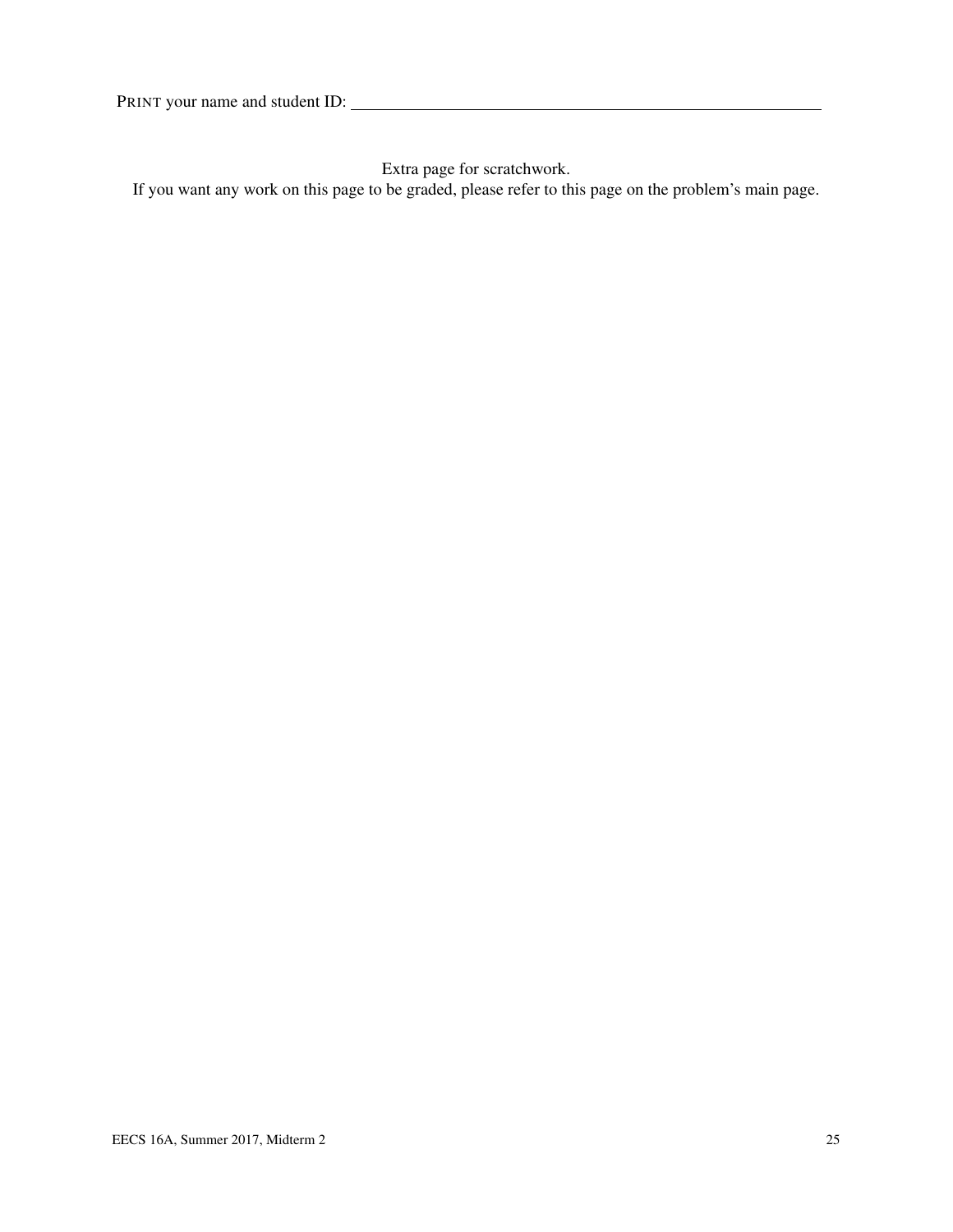Extra page for scratchwork.

If you want any work on this page to be graded, please refer to this page on the problem's main page.